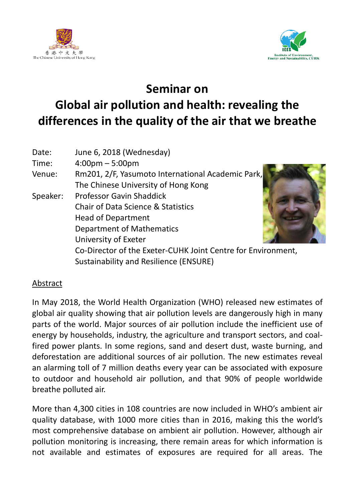



## **Seminar on Global air pollution and health: revealing the differences in the quality of the air that we breathe**

| Date:    | June 6, 2018 (Wednesday)                                     |
|----------|--------------------------------------------------------------|
| Time:    | $4:00 \text{pm} - 5:00 \text{pm}$                            |
| Venue:   | Rm201, 2/F, Yasumoto International Academic Park,            |
|          | The Chinese University of Hong Kong                          |
| Speaker: | <b>Professor Gavin Shaddick</b>                              |
|          | <b>Chair of Data Science &amp; Statistics</b>                |
|          | <b>Head of Department</b>                                    |
|          | <b>Department of Mathematics</b>                             |
|          | University of Exeter                                         |
|          | Co-Director of the Exeter-CUHK Joint Centre for Environment, |
|          | <b>Sustainability and Resilience (ENSURE)</b>                |

## Abstract

In May 2018, the World Health Organization (WHO) released new estimates of global air quality showing that air pollution levels are dangerously high in many parts of the world. Major sources of air pollution include the inefficient use of energy by households, industry, the agriculture and transport sectors, and coalfired power plants. In some regions, sand and desert dust, waste burning, and deforestation are additional sources of air pollution. The new estimates reveal an alarming toll of 7 million deaths every year can be associated with exposure to outdoor and household air pollution, and that 90% of people worldwide breathe polluted air.

More than 4,300 cities in 108 countries are now included in WHO's ambient air quality database, with 1000 more cities than in 2016, making this the world's most comprehensive database on ambient air pollution. However, although air pollution monitoring is increasing, there remain areas for which information is not available and estimates of exposures are required for all areas. The